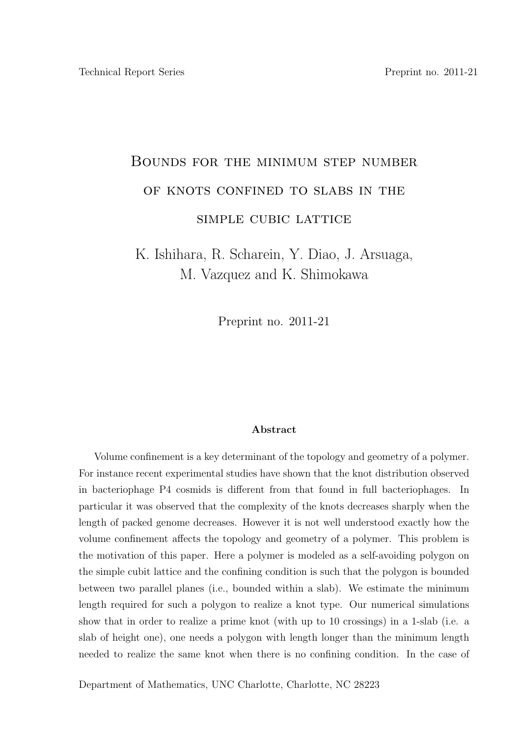## Bounds for the minimum step number OF KNOTS CONFINED TO SLABS IN THE simple cubic lattice

K. Ishihara, R. Scharein, Y. Diao, J. Arsuaga, M. Vazquez and K. Shimokawa

Preprint no. 2011-21

## Abstract

Volume confinement is a key determinant of the topology and geometry of a polymer. For instance recent experimental studies have shown that the knot distribution observed in bacteriophage P4 cosmids is different from that found in full bacteriophages. In particular it was observed that the complexity of the knots decreases sharply when the length of packed genome decreases. However it is not well understood exactly how the volume confinement affects the topology and geometry of a polymer. This problem is the motivation of this paper. Here a polymer is modeled as a self-avoiding polygon on the simple cubit lattice and the confining condition is such that the polygon is bounded between two parallel planes (i.e., bounded within a slab). We estimate the minimum length required for such a polygon to realize a knot type. Our numerical simulations show that in order to realize a prime knot (with up to 10 crossings) in a 1-slab (i.e. a slab of height one), one needs a polygon with length longer than the minimum length needed to realize the same knot when there is no confining condition. In the case of

Department of Mathematics, UNC Charlotte, Charlotte, NC 28223